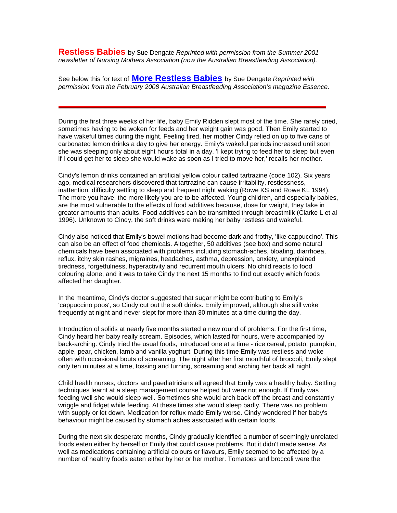**Restless Babies** by Sue Dengate *Reprinted with permission from the Summer 2001 newsletter of Nursing Mothers Association (now the Australian Breastfeeding Association).*

See below this for text of **[More Restless Babies](#page-9-0)** by Sue Dengate *Reprinted with permission from the February 2008 Australian Breastfeeding Association's magazine Essence.*

During the first three weeks of her life, baby Emily Ridden slept most of the time. She rarely cried, sometimes having to be woken for feeds and her weight gain was good. Then Emily started to have wakeful times during the night. Feeling tired, her mother Cindy relied on up to five cans of carbonated lemon drinks a day to give her energy. Emily's wakeful periods increased until soon she was sleeping only about eight hours total in a day. 'I kept trying to feed her to sleep but even if I could get her to sleep she would wake as soon as I tried to move her,' recalls her mother.

Cindy's lemon drinks contained an artificial yellow colour called tartrazine (code 102). Six years ago, medical researchers discovered that tartrazine can cause irritability, restlessness, inattention, difficulty settling to sleep and frequent night waking (Rowe KS and Rowe KL 1994). The more you have, the more likely you are to be affected. Young children, and especially babies, are the most vulnerable to the effects of food additives because, dose for weight, they take in greater amounts than adults. Food additives can be transmitted through breastmilk (Clarke L et al 1996). Unknown to Cindy, the soft drinks were making her baby restless and wakeful.

Cindy also noticed that Emily's bowel motions had become dark and frothy, 'like cappuccino'. This can also be an effect of food chemicals. Altogether, 50 additives (see box) and some natural chemicals have been associated with problems including stomach-aches, bloating, diarrhoea, reflux, itchy skin rashes, migraines, headaches, asthma, depression, anxiety, unexplained tiredness, forgetfulness, hyperactivity and recurrent mouth ulcers. No child reacts to food colouring alone, and it was to take Cindy the next 15 months to find out exactly which foods affected her daughter.

In the meantime, Cindy's doctor suggested that sugar might be contributing to Emily's 'cappuccino poos', so Cindy cut out the soft drinks. Emily improved, although she still woke frequently at night and never slept for more than 30 minutes at a time during the day.

Introduction of solids at nearly five months started a new round of problems. For the first time, Cindy heard her baby really scream. Episodes, which lasted for hours, were accompanied by back-arching. Cindy tried the usual foods, introduced one at a time - rice cereal, potato, pumpkin, apple, pear, chicken, lamb and vanilla yoghurt. During this time Emily was restless and woke often with occasional bouts of screaming. The night after her first mouthful of broccoli, Emily slept only ten minutes at a time, tossing and turning, screaming and arching her back all night.

Child health nurses, doctors and paediatricians all agreed that Emily was a healthy baby. Settling techniques learnt at a sleep management course helped but were not enough. If Emily was feeding well she would sleep well. Sometimes she would arch back off the breast and constantly wriggle and fidget while feeding. At these times she would sleep badly. There was no problem with supply or let down. Medication for reflux made Emily worse. Cindy wondered if her baby's behaviour might be caused by stomach aches associated with certain foods.

During the next six desperate months, Cindy gradually identified a number of seemingly unrelated foods eaten either by herself or Emily that could cause problems. But it didn't made sense. As well as medications containing artificial colours or flavours, Emily seemed to be affected by a number of healthy foods eaten either by her or her mother. Tomatoes and broccoli were the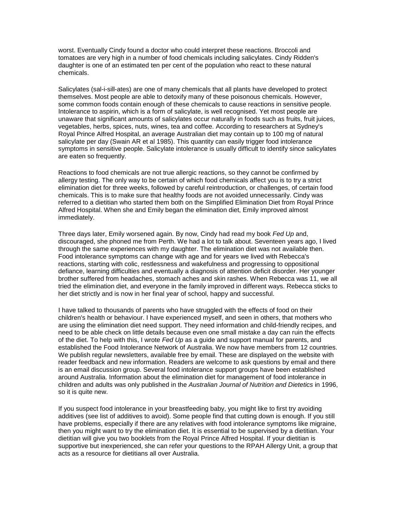worst. Eventually Cindy found a doctor who could interpret these reactions. Broccoli and tomatoes are very high in a number of food chemicals including salicylates. Cindy Ridden's daughter is one of an estimated ten per cent of the population who react to these natural chemicals.

Salicylates (sal-i-sill-ates) are one of many chemicals that all plants have developed to protect themselves. Most people are able to detoxify many of these poisonous chemicals. However, some common foods contain enough of these chemicals to cause reactions in sensitive people. Intolerance to aspirin, which is a form of salicylate, is well recognised. Yet most people are unaware that significant amounts of salicylates occur naturally in foods such as fruits, fruit juices, vegetables, herbs, spices, nuts, wines, tea and coffee. According to researchers at Sydney's Royal Prince Alfred Hospital, an average Australian diet may contain up to 100 mg of natural salicylate per day (Swain AR et al 1985). This quantity can easily trigger food intolerance symptoms in sensitive people. Salicylate intolerance is usually difficult to identify since salicylates are eaten so frequently.

Reactions to food chemicals are not true allergic reactions, so they cannot be confirmed by allergy testing. The only way to be certain of which food chemicals affect you is to try a strict elimination diet for three weeks, followed by careful reintroduction, or challenges, of certain food chemicals. This is to make sure that healthy foods are not avoided unnecessarily. Cindy was referred to a dietitian who started them both on the Simplified Elimination Diet from Royal Prince Alfred Hospital. When she and Emily began the elimination diet, Emily improved almost immediately.

Three days later, Emily worsened again. By now, Cindy had read my book *Fed Up* and, discouraged, she phoned me from Perth. We had a lot to talk about. Seventeen years ago, I lived through the same experiences with my daughter. The elimination diet was not available then. Food intolerance symptoms can change with age and for years we lived with Rebecca's reactions, starting with colic, restlessness and wakefulness and progressing to oppositional defiance, learning difficulties and eventually a diagnosis of attention deficit disorder. Her younger brother suffered from headaches, stomach aches and skin rashes. When Rebecca was 11, we all tried the elimination diet, and everyone in the family improved in different ways. Rebecca sticks to her diet strictly and is now in her final year of school, happy and successful.

I have talked to thousands of parents who have struggled with the effects of food on their children's health or behaviour. I have experienced myself, and seen in others, that mothers who are using the elimination diet need support. They need information and child-friendly recipes, and need to be able check on little details because even one small mistake a day can ruin the effects of the diet. To help with this, I wrote *Fed Up* as a guide and support manual for parents, and established the Food Intolerance Network of Australia. We now have members from 12 countries. We publish regular newsletters, available free by email. These are displayed on the website with reader feedback and new information. Readers are welcome to ask questions by email and there is an email discussion group. Several food intolerance support groups have been established around Australia. Information about the elimination diet for management of food intolerance in children and adults was only published in the *Australian Journal of Nutrition and Dietetics* in 1996, so it is quite new.

If you suspect food intolerance in your breastfeeding baby, you might like to first try avoiding additives (see list of additives to avoid). Some people find that cutting down is enough. If you still have problems, especially if there are any relatives with food intolerance symptoms like migraine, then you might want to try the elimination diet. It is essential to be supervised by a dietitian. Your dietitian will give you two booklets from the Royal Prince Alfred Hospital. If your dietitian is supportive but inexperienced, she can refer your questions to the RPAH Allergy Unit, a group that acts as a resource for dietitians all over Australia.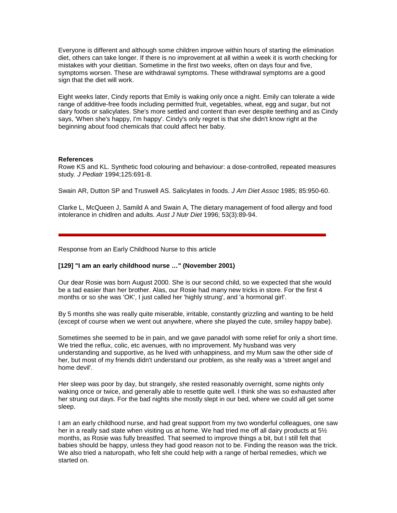Everyone is different and although some children improve within hours of starting the elimination diet, others can take longer. If there is no improvement at all within a week it is worth checking for mistakes with your dietitian. Sometime in the first two weeks, often on days four and five, symptoms worsen. These are withdrawal symptoms. These withdrawal symptoms are a good sign that the diet will work.

Eight weeks later, Cindy reports that Emily is waking only once a night. Emily can tolerate a wide range of additive-free foods including permitted fruit, vegetables, wheat, egg and sugar, but not dairy foods or salicylates. She's more settled and content than ever despite teething and as Cindy says, 'When she's happy, I'm happy'. Cindy's only regret is that she didn't know right at the beginning about food chemicals that could affect her baby.

#### **References**

Rowe KS and KL. Synthetic food colouring and behaviour: a dose-controlled, repeated measures study*. J Pediatr* 1994;125:691-8.

Swain AR, Dutton SP and Truswell AS. Salicylates in foods. *J Am Diet Assoc* 1985; 85:950-60.

Clarke L, McQueen J, Samild A and Swain A, The dietary management of food allergy and food intolerance in chidlren and adults. *Aust J Nutr Diet* 1996; 53(3):89-94.

Response from an Early Childhood Nurse to this article

#### **[129] "I am an early childhood nurse …" (November 2001)**

Our dear Rosie was born August 2000. She is our second child, so we expected that she would be a tad easier than her brother. Alas, our Rosie had many new tricks in store. For the first 4 months or so she was 'OK', I just called her 'highly strung', and 'a hormonal girl'.

By 5 months she was really quite miserable, irritable, constantly grizzling and wanting to be held (except of course when we went out anywhere, where she played the cute, smiley happy babe).

Sometimes she seemed to be in pain, and we gave panadol with some relief for only a short time. We tried the reflux, colic, etc avenues, with no improvement. My husband was very understanding and supportive, as he lived with unhappiness, and my Mum saw the other side of her, but most of my friends didn't understand our problem, as she really was a 'street angel and home devil'.

Her sleep was poor by day, but strangely, she rested reasonably overnight, some nights only waking once or twice, and generally able to resettle quite well. I think she was so exhausted after her strung out days. For the bad nights she mostly slept in our bed, where we could all get some sleep.

I am an early childhood nurse, and had great support from my two wonderful colleagues, one saw her in a really sad state when visiting us at home. We had tried me off all dairy products at  $5\frac{1}{2}$ months, as Rosie was fully breastfed. That seemed to improve things a bit, but I still felt that babies should be happy, unless they had good reason not to be. Finding the reason was the trick. We also tried a naturopath, who felt she could help with a range of herbal remedies, which we started on.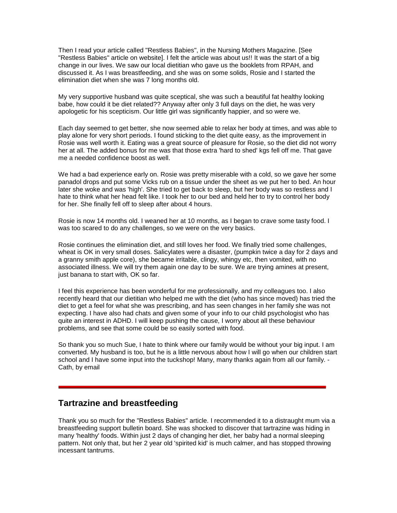Then I read your article called "Restless Babies", in the Nursing Mothers Magazine. [See "Restless Babies" article on website]. I felt the article was about us!! It was the start of a big change in our lives. We saw our local dietitian who gave us the booklets from RPAH, and discussed it. As I was breastfeeding, and she was on some solids, Rosie and I started the elimination diet when she was 7 long months old.

My very supportive husband was quite sceptical, she was such a beautiful fat healthy looking babe, how could it be diet related?? Anyway after only 3 full days on the diet, he was very apologetic for his scepticism. Our little girl was significantly happier, and so were we.

Each day seemed to get better, she now seemed able to relax her body at times, and was able to play alone for very short periods. I found sticking to the diet quite easy, as the improvement in Rosie was well worth it. Eating was a great source of pleasure for Rosie, so the diet did not worry her at all. The added bonus for me was that those extra 'hard to shed' kgs fell off me. That gave me a needed confidence boost as well.

We had a bad experience early on. Rosie was pretty miserable with a cold, so we gave her some panadol drops and put some Vicks rub on a tissue under the sheet as we put her to bed. An hour later she woke and was 'high'. She tried to get back to sleep, but her body was so restless and I hate to think what her head felt like. I took her to our bed and held her to try to control her body for her. She finally fell off to sleep after about 4 hours.

Rosie is now 14 months old. I weaned her at 10 months, as I began to crave some tasty food. I was too scared to do any challenges, so we were on the very basics.

Rosie continues the elimination diet, and still loves her food. We finally tried some challenges, wheat is OK in very small doses. Salicylates were a disaster, (pumpkin twice a day for 2 days and a granny smith apple core), she became irritable, clingy, whingy etc, then vomited, with no associated illness. We will try them again one day to be sure. We are trying amines at present, just banana to start with, OK so far.

I feel this experience has been wonderful for me professionally, and my colleagues too. I also recently heard that our dietitian who helped me with the diet (who has since moved) has tried the diet to get a feel for what she was prescribing, and has seen changes in her family she was not expecting. I have also had chats and given some of your info to our child psychologist who has quite an interest in ADHD. I will keep pushing the cause, I worry about all these behaviour problems, and see that some could be so easily sorted with food.

So thank you so much Sue, I hate to think where our family would be without your big input. I am converted. My husband is too, but he is a little nervous about how I will go when our children start school and I have some input into the tuckshop! Many, many thanks again from all our family. -Cath, by email

# **Tartrazine and breastfeeding**

Thank you so much for the "Restless Babies" article. I recommended it to a distraught mum via a breastfeeding support bulletin board. She was shocked to discover that tartrazine was hiding in many 'healthy' foods. Within just 2 days of changing her diet, her baby had a normal sleeping pattern. Not only that, but her 2 year old 'spirited kid' is much calmer, and has stopped throwing incessant tantrums.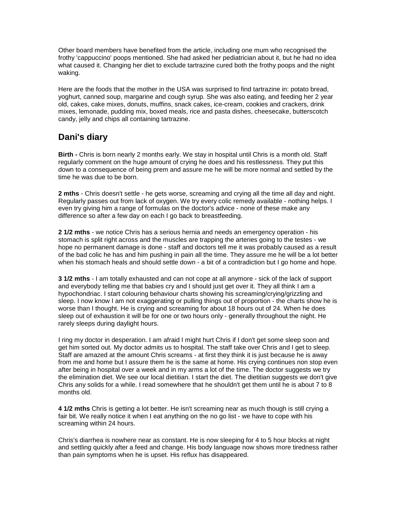Other board members have benefited from the article, including one mum who recognised the frothy 'cappuccino' poops mentioned. She had asked her pediatrician about it, but he had no idea what caused it. Changing her diet to exclude tartrazine cured both the frothy poops and the night waking.

Here are the foods that the mother in the USA was surprised to find tartrazine in: potato bread, yoghurt, canned soup, margarine and cough syrup. She was also eating, and feeding her 2 year old, cakes, cake mixes, donuts, muffins, snack cakes, ice-cream, cookies and crackers, drink mixes, lemonade, pudding mix, boxed meals, rice and pasta dishes, cheesecake, butterscotch candy, jelly and chips all containing tartrazine.

# **Dani's diary**

**Birth -** Chris is born nearly 2 months early. We stay in hospital until Chris is a month old. Staff regularly comment on the huge amount of crying he does and his restlessness. They put this down to a consequence of being prem and assure me he will be more normal and settled by the time he was due to be born.

**2 mths** - Chris doesn't settle - he gets worse, screaming and crying all the time all day and night. Regularly passes out from lack of oxygen. We try every colic remedy available - nothing helps. I even try giving him a range of formulas on the doctor's advice - none of these make any difference so after a few day on each I go back to breastfeeding.

**2 1/2 mths** - we notice Chris has a serious hernia and needs an emergency operation - his stomach is split right across and the muscles are trapping the arteries going to the testes - we hope no permanent damage is done - staff and doctors tell me it was probably caused as a result of the bad colic he has and him pushing in pain all the time. They assure me he will be a lot better when his stomach heals and should settle down - a bit of a contradiction but I go home and hope.

**3 1/2 mths** - I am totally exhausted and can not cope at all anymore - sick of the lack of support and everybody telling me that babies cry and I should just get over it. They all think I am a hypochondriac. I start colouring behaviour charts showing his screaming/crying/grizzling and sleep. I now know I am not exaggerating or pulling things out of proportion - the charts show he is worse than I thought. He is crying and screaming for about 18 hours out of 24. When he does sleep out of exhaustion it will be for one or two hours only - generally throughout the night. He rarely sleeps during daylight hours.

I ring my doctor in desperation. I am afraid I might hurt Chris if I don't get some sleep soon and get him sorted out. My doctor admits us to hospital. The staff take over Chris and I get to sleep. Staff are amazed at the amount Chris screams - at first they think it is just because he is away from me and home but I assure them he is the same at home. His crying continues non stop even after being in hospital over a week and in my arms a lot of the time. The doctor suggests we try the elimination diet. We see our local dietitian. I start the diet. The dietitian suggests we don't give Chris any solids for a while. I read somewhere that he shouldn't get them until he is about 7 to 8 months old.

**4 1/2 mths** Chris is getting a lot better. He isn't screaming near as much though is still crying a fair bit. We really notice it when I eat anything on the no go list - we have to cope with his screaming within 24 hours.

Chris's diarrhea is nowhere near as constant. He is now sleeping for 4 to 5 hour blocks at night and settling quickly after a feed and change. His body language now shows more tiredness rather than pain symptoms when he is upset. His reflux has disappeared.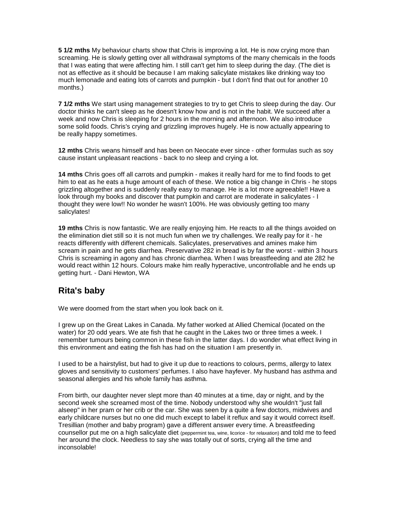**5 1/2 mths** My behaviour charts show that Chris is improving a lot. He is now crying more than screaming. He is slowly getting over all withdrawal symptoms of the many chemicals in the foods that I was eating that were affecting him. I still can't get him to sleep during the day. (The diet is not as effective as it should be because I am making salicylate mistakes like drinking way too much lemonade and eating lots of carrots and pumpkin - but I don't find that out for another 10 months.)

**7 1/2 mths** We start using management strategies to try to get Chris to sleep during the day. Our doctor thinks he can't sleep as he doesn't know how and is not in the habit. We succeed after a week and now Chris is sleeping for 2 hours in the morning and afternoon. We also introduce some solid foods. Chris's crying and grizzling improves hugely. He is now actually appearing to be really happy sometimes.

**12 mths** Chris weans himself and has been on Neocate ever since - other formulas such as soy cause instant unpleasant reactions - back to no sleep and crying a lot.

**14 mths** Chris goes off all carrots and pumpkin - makes it really hard for me to find foods to get him to eat as he eats a huge amount of each of these. We notice a big change in Chris - he stops grizzling altogether and is suddenly really easy to manage. He is a lot more agreeable!! Have a look through my books and discover that pumpkin and carrot are moderate in salicylates - I thought they were low!! No wonder he wasn't 100%. He was obviously getting too many salicylates!

**19 mths** Chris is now fantastic. We are really enjoying him. He reacts to all the things avoided on the elimination diet still so it is not much fun when we try challenges. We really pay for it - he reacts differently with different chemicals. Salicylates, preservatives and amines make him scream in pain and he gets diarrhea. Preservative 282 in bread is by far the worst - within 3 hours Chris is screaming in agony and has chronic diarrhea. When I was breastfeeding and ate 282 he would react within 12 hours. Colours make him really hyperactive, uncontrollable and he ends up getting hurt. - Dani Hewton, WA

# **Rita's baby**

We were doomed from the start when you look back on it.

I grew up on the Great Lakes in Canada. My father worked at Allied Chemical (located on the water) for 20 odd years. We ate fish that he caught in the Lakes two or three times a week. I remember tumours being common in these fish in the latter days. I do wonder what effect living in this environment and eating the fish has had on the situation I am presently in.

I used to be a hairstylist, but had to give it up due to reactions to colours, perms, allergy to latex gloves and sensitivity to customers' perfumes. I also have hayfever. My husband has asthma and seasonal allergies and his whole family has asthma.

From birth, our daughter never slept more than 40 minutes at a time, day or night, and by the second week she screamed most of the time. Nobody understood why she wouldn't "just fall alseep" in her pram or her crib or the car. She was seen by a quite a few doctors, midwives and early childcare nurses but no one did much except to label it reflux and say it would correct itself. Tresillian (mother and baby program) gave a different answer every time. A breastfeeding counsellor put me on a high salicylate diet (peppermint tea, wine, licorice - for relaxation) and told me to feed her around the clock. Needless to say she was totally out of sorts, crying all the time and inconsolable!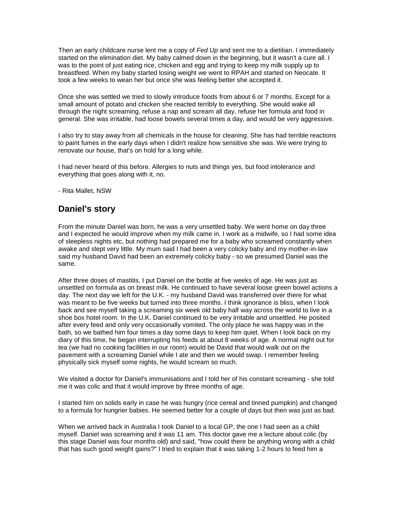Then an early childcare nurse lent me a copy of *Fed Up* and sent me to a dietitian. I immediately started on the elimination diet. My baby calmed down in the beginning, but it wasn't a cure all. I was to the point of just eating rice, chicken and egg and trying to keep my milk supply up to breastfeed. When my baby started losing weight we went to RPAH and started on Neocate. It took a few weeks to wean her but once she was feeling better she accepted it.

Once she was settled we tried to slowly introduce foods from about 6 or 7 months. Except for a small amount of potato and chicken she reacted terribly to everything. She would wake all through the night screaming, refuse a nap and scream all day, refuse her formula and food in general. She was irritable, had loose bowels several times a day, and would be very aggressive.

I also try to stay away from all chemicals in the house for cleaning. She has had terrible reactions to paint fumes in the early days when I didn't realize how sensitive she was. We were trying to renovate our house, that's on hold for a long while.

I had never heard of this before. Allergies to nuts and things yes, but food intolerance and everything that goes along with it, no.

- Rita Mallet, NSW

# **Daniel's story**

From the minute Daniel was born, he was a very unsettled baby. We went home on day three and I expected he would improve when my milk came in. I work as a midwife, so I had some idea of sleepless nights etc, but nothing had prepared me for a baby who screamed constantly when awake and slept very little. My mum said I had been a very colicky baby and my mother-in-law said my husband David had been an extremely colicky baby - so we presumed Daniel was the same.

After three doses of mastitis, I put Daniel on the bottle at five weeks of age. He was just as unsettled on formula as on breast milk. He continued to have several loose green bowel actions a day. The next day we left for the U.K. - my husband David was transferred over there for what was meant to be five weeks but turned into three months. I think ignorance is bliss, when I look back and see myself taking a screaming six week old baby half way across the world to live in a shoe box hotel room. In the U.K. Daniel continued to be very irritable and unsettled. He posited after every feed and only very occasionally vomited. The only place he was happy was in the bath, so we bathed him four times a day some days to keep him quiet. When I look back on my diary of this time, he began interrupting his feeds at about 8 weeks of age. A normal night out for tea (we had no cooking facilities in our room) would be David that would walk out on the pavement with a screaming Daniel while I ate and then we would swap. I remember feeling physically sick myself some nights, he would scream so much.

We visited a doctor for Daniel's immunisations and I told her of his constant screaming - she told me it was colic and that it would improve by three months of age.

I started him on solids early in case he was hungry (rice cereal and tinned pumpkin) and changed to a formula for hungrier babies. He seemed better for a couple of days but then was just as bad.

When we arrived back in Australia I took Daniel to a local GP, the one I had seen as a child myself. Daniel was screaming and it was 11 am. This doctor gave me a lecture about colic (by this stage Daniel was four months old) and said, "how could there be anything wrong with a child that has such good weight gains?" I tried to explain that it was taking 1-2 hours to feed him a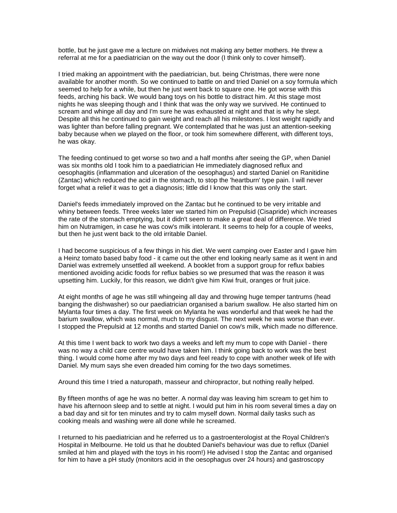bottle, but he just gave me a lecture on midwives not making any better mothers. He threw a referral at me for a paediatrician on the way out the door (I think only to cover himself).

I tried making an appointment with the paediatrician, but. being Christmas, there were none available for another month. So we continued to battle on and tried Daniel on a soy formula which seemed to help for a while, but then he just went back to square one. He got worse with this feeds, arching his back. We would bang toys on his bottle to distract him. At this stage most nights he was sleeping though and I think that was the only way we survived. He continued to scream and whinge all day and I'm sure he was exhausted at night and that is why he slept. Despite all this he continued to gain weight and reach all his milestones. I lost weight rapidly and was lighter than before falling pregnant. We contemplated that he was just an attention-seeking baby because when we played on the floor, or took him somewhere different, with different toys, he was okay.

The feeding continued to get worse so two and a half months after seeing the GP, when Daniel was six months old I took him to a paediatrician He immediately diagnosed reflux and oesophagitis (inflammation and ulceration of the oesophagus) and started Daniel on Ranitidine (Zantac) which reduced the acid in the stomach, to stop the 'heartburn' type pain. I will never forget what a relief it was to get a diagnosis; little did I know that this was only the start.

Daniel's feeds immediately improved on the Zantac but he continued to be very irritable and whiny between feeds. Three weeks later we started him on Prepulsid (Cisapride) which increases the rate of the stomach emptying, but it didn't seem to make a great deal of difference. We tried him on Nutramigen, in case he was cow's milk intolerant. It seems to help for a couple of weeks, but then he just went back to the old irritable Daniel.

I had become suspicious of a few things in his diet. We went camping over Easter and I gave him a Heinz tomato based baby food - it came out the other end looking nearly same as it went in and Daniel was extremely unsettled all weekend. A booklet from a support group for reflux babies mentioned avoiding acidic foods for reflux babies so we presumed that was the reason it was upsetting him. Luckily, for this reason, we didn't give him Kiwi fruit, oranges or fruit juice.

At eight months of age he was still whingeing all day and throwing huge temper tantrums (head banging the dishwasher) so our paediatrician organised a barium swallow. He also started him on Mylanta four times a day. The first week on Mylanta he was wonderful and that week he had the barium swallow, which was normal, much to my disgust. The next week he was worse than ever. I stopped the Prepulsid at 12 months and started Daniel on cow's milk, which made no difference.

At this time I went back to work two days a weeks and left my mum to cope with Daniel - there was no way a child care centre would have taken him. I think going back to work was the best thing. I would come home after my two days and feel ready to cope with another week of life with Daniel. My mum says she even dreaded him coming for the two days sometimes.

Around this time I tried a naturopath, masseur and chiropractor, but nothing really helped.

By fifteen months of age he was no better. A normal day was leaving him scream to get him to have his afternoon sleep and to settle at night. I would put him in his room several times a day on a bad day and sit for ten minutes and try to calm myself down. Normal daily tasks such as cooking meals and washing were all done while he screamed.

I returned to his paediatrician and he referred us to a gastroenterologist at the Royal Children's Hospital in Melbourne. He told us that he doubted Daniel's behaviour was due to reflux (Daniel smiled at him and played with the toys in his room!) He advised I stop the Zantac and organised for him to have a pH study (monitors acid in the oesophagus over 24 hours) and gastroscopy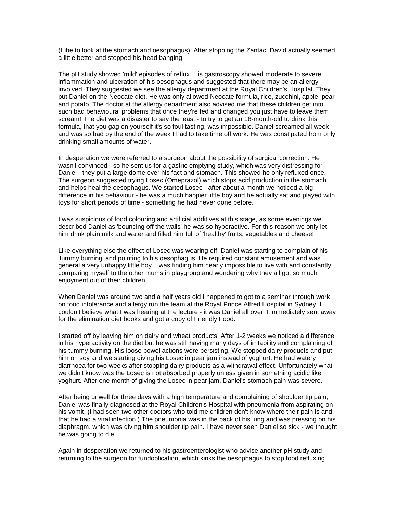(tube to look at the stomach and oesophagus). After stopping the Zantac, David actually seemed a little better and stopped his head banging.

The pH study showed 'mild' episodes of reflux. His gastroscopy showed moderate to severe inflammation and ulceration of his oesophagus and suggested that there may be an allergy involved. They suggested we see the allergy department at the Royal Children's Hospital. They put Daniel on the Neocate diet. He was only allowed Neocate formula, rice, zucchini, apple, pear and potato. The doctor at the allergy department also advised me that these children get into such bad behavioural problems that once they're fed and changed you just have to leave them scream! The diet was a disaster to say the least - to try to get an 18-month-old to drink this formula, that you gag on yourself it's so foul tasting, was impossible. Daniel screamed all week and was so bad by the end of the week I had to take time off work. He was constipated from only drinking small amounts of water.

In desperation we were referred to a surgeon about the possibility of surgical correction. He wasn't convinced - so he sent us for a gastric emptying study, which was very distressing for Daniel - they put a large dome over his fact and stomach. This showed he only refluxed once. The surgeon suggested trying Losec (Omeprazol) which stops acid production in the stomach and helps heal the oesophagus. We started Losec - after about a month we noticed a big difference in his behaviour - he was a much happier little boy and he actually sat and played with toys for short periods of time - something he had never done before.

I was suspicious of food colouring and artificial additives at this stage, as some evenings we described Daniel as 'bouncing off the walls' he was so hyperactive. For this reason we only let him drink plain milk and water and filled him full of 'healthy' fruits, vegetables and cheese!

Like everything else the effect of Losec was wearing off. Daniel was starting to complain of his 'tummy burning' and pointing to his oesophagus. He required constant amusement and was general a very unhappy little boy. I was finding him nearly impossible to live with and constantly comparing myself to the other mums in playgroup and wondering why they all got so much enjoyment out of their children.

When Daniel was around two and a half years old I happened to got to a seminar through work on food intolerance and allergy run the team at the Royal Prince Alfred Hospital in Sydney. I couldn't believe what I was hearing at the lecture - it was Daniel all over! I immediately sent away for the elimination diet books and got a copy of Friendly Food.

I started off by leaving him on dairy and wheat products. After 1-2 weeks we noticed a difference in his hyperactivity on the diet but he was still having many days of irritability and complaining of his tummy burning. His loose bowel actions were persisting. We stopped dairy products and put him on soy and we starting giving his Losec in pear jam instead of yoghurt. He had watery diarrhoea for two weeks after stopping dairy products as a withdrawal effect. Unfortunately what we didn't know was the Losec is not absorbed properly unless given in something acidic like yoghurt. After one month of giving the Losec in pear jam, Daniel's stomach pain was severe.

After being unwell for three days with a high temperature and complaining of shoulder tip pain, Daniel was finally diagnosed at the Royal Children's Hospital with pneumonia from aspirating on his vomit. (I had seen two other doctors who told me children don't know where their pain is and that he had a viral infection.) The pneumonia was in the back of his lung and was pressing on his diaphragm, which was giving him shoulder tip pain. I have never seen Daniel so sick - we thought he was going to die.

Again in desperation we returned to his gastroenterologist who advise another pH study and returning to the surgeon for fundoplication, which kinks the oesophagus to stop food refluxing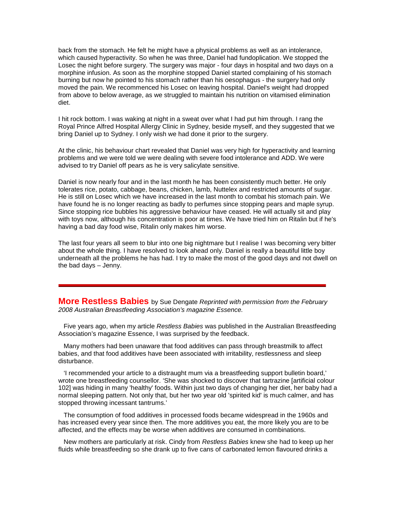back from the stomach. He felt he might have a physical problems as well as an intolerance, which caused hyperactivity. So when he was three, Daniel had fundoplication. We stopped the Losec the night before surgery. The surgery was major - four days in hospital and two days on a morphine infusion. As soon as the morphine stopped Daniel started complaining of his stomach burning but now he pointed to his stomach rather than his oesophagus - the surgery had only moved the pain. We recommenced his Losec on leaving hospital. Daniel's weight had dropped from above to below average, as we struggled to maintain his nutrition on vitamised elimination diet.

I hit rock bottom. I was waking at night in a sweat over what I had put him through. I rang the Royal Prince Alfred Hospital Allergy Clinic in Sydney, beside myself, and they suggested that we bring Daniel up to Sydney. I only wish we had done it prior to the surgery.

At the clinic, his behaviour chart revealed that Daniel was very high for hyperactivity and learning problems and we were told we were dealing with severe food intolerance and ADD. We were advised to try Daniel off pears as he is very salicylate sensitive.

Daniel is now nearly four and in the last month he has been consistently much better. He only tolerates rice, potato, cabbage, beans, chicken, lamb, Nuttelex and restricted amounts of sugar. He is still on Losec which we have increased in the last month to combat his stomach pain. We have found he is no longer reacting as badly to perfumes since stopping pears and maple syrup. Since stopping rice bubbles his aggressive behaviour have ceased. He will actually sit and play with toys now, although his concentration is poor at times. We have tried him on Ritalin but if he's having a bad day food wise, Ritalin only makes him worse.

The last four years all seem to blur into one big nightmare but I realise I was becoming very bitter about the whole thing. I have resolved to look ahead only. Daniel is really a beautiful little boy underneath all the problems he has had. I try to make the most of the good days and not dwell on the bad days – Jenny.

<span id="page-9-0"></span>**More Restless Babies** by Sue Dengate *Reprinted with permission from the February 2008 Australian Breastfeeding Association's magazine Essence.*

 Five years ago, when my article *Restless Babies* was published in the Australian Breastfeeding Association's magazine Essence, I was surprised by the feedback.

 Many mothers had been unaware that food additives can pass through breastmilk to affect babies, and that food additives have been associated with irritability, restlessness and sleep disturbance.

 'I recommended your article to a distraught mum via a breastfeeding support bulletin board,' wrote one breastfeeding counsellor. 'She was shocked to discover that tartrazine [artificial colour 102] was hiding in many 'healthy' foods. Within just two days of changing her diet, her baby had a normal sleeping pattern. Not only that, but her two year old 'spirited kid' is much calmer, and has stopped throwing incessant tantrums.'

 The consumption of food additives in processed foods became widespread in the 1960s and has increased every year since then. The more additives you eat, the more likely you are to be affected, and the effects may be worse when additives are consumed in combinations.

 New mothers are particularly at risk. Cindy from *Restless Babies* knew she had to keep up her fluids while breastfeeding so she drank up to five cans of carbonated lemon flavoured drinks a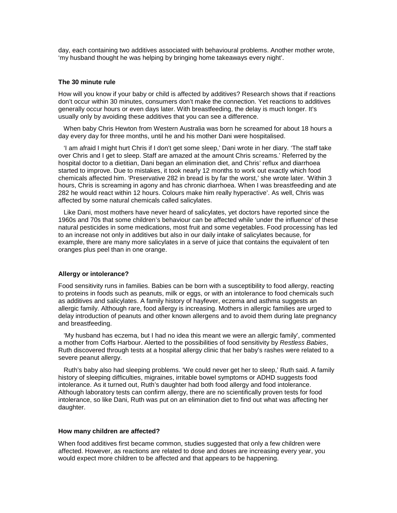day, each containing two additives associated with behavioural problems. Another mother wrote, 'my husband thought he was helping by bringing home takeaways every night'.

#### **The 30 minute rule**

How will you know if your baby or child is affected by additives? Research shows that if reactions don't occur within 30 minutes, consumers don't make the connection. Yet reactions to additives generally occur hours or even days later. With breastfeeding, the delay is much longer. It's usually only by avoiding these additives that you can see a difference.

 When baby Chris Hewton from Western Australia was born he screamed for about 18 hours a day every day for three months, until he and his mother Dani were hospitalised.

 'I am afraid I might hurt Chris if I don't get some sleep,' Dani wrote in her diary. 'The staff take over Chris and I get to sleep. Staff are amazed at the amount Chris screams.' Referred by the hospital doctor to a dietitian, Dani began an elimination diet, and Chris' reflux and diarrhoea started to improve. Due to mistakes, it took nearly 12 months to work out exactly which food chemicals affected him. 'Preservative 282 in bread is by far the worst,' she wrote later. 'Within 3 hours, Chris is screaming in agony and has chronic diarrhoea. When I was breastfeeding and ate 282 he would react within 12 hours. Colours make him really hyperactive'. As well, Chris was affected by some natural chemicals called salicylates.

 Like Dani, most mothers have never heard of salicylates, yet doctors have reported since the 1960s and 70s that some children's behaviour can be affected while 'under the influence' of these natural pesticides in some medications, most fruit and some vegetables. Food processing has led to an increase not only in additives but also in our daily intake of salicylates because, for example, there are many more salicylates in a serve of juice that contains the equivalent of ten oranges plus peel than in one orange.

#### **Allergy or intolerance?**

Food sensitivity runs in families. Babies can be born with a susceptibility to food allergy, reacting to proteins in foods such as peanuts, milk or eggs, or with an intolerance to food chemicals such as additives and salicylates. A family history of hayfever, eczema and asthma suggests an allergic family. Although rare, food allergy is increasing. Mothers in allergic families are urged to delay introduction of peanuts and other known allergens and to avoid them during late pregnancy and breastfeeding.

 'My husband has eczema, but I had no idea this meant we were an allergic family', commented a mother from Coffs Harbour. Alerted to the possibilities of food sensitivity by *Restless Babies*, Ruth discovered through tests at a hospital allergy clinic that her baby's rashes were related to a severe peanut allergy.

 Ruth's baby also had sleeping problems. 'We could never get her to sleep,' Ruth said. A family history of sleeping difficulties, migraines, irritable bowel symptoms or ADHD suggests food intolerance. As it turned out, Ruth's daughter had both food allergy and food intolerance. Although laboratory tests can confirm allergy, there are no scientifically proven tests for food intolerance, so like Dani, Ruth was put on an elimination diet to find out what was affecting her daughter.

#### **How many children are affected?**

When food additives first became common, studies suggested that only a few children were affected. However, as reactions are related to dose and doses are increasing every year, you would expect more children to be affected and that appears to be happening.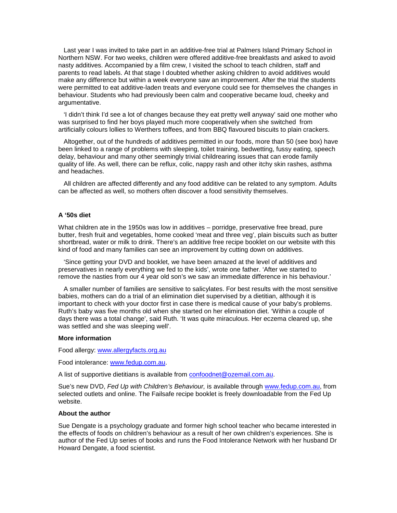Last year I was invited to take part in an additive-free trial at Palmers Island Primary School in Northern NSW. For two weeks, children were offered additive-free breakfasts and asked to avoid nasty additives. Accompanied by a film crew, I visited the school to teach children, staff and parents to read labels. At that stage I doubted whether asking children to avoid additives would make any difference but within a week everyone saw an improvement. After the trial the students were permitted to eat additive-laden treats and everyone could see for themselves the changes in behaviour. Students who had previously been calm and cooperative became loud, cheeky and argumentative.

 'I didn't think I'd see a lot of changes because they eat pretty well anyway' said one mother who was surprised to find her boys played much more cooperatively when she switched from artificially colours lollies to Werthers toffees, and from BBQ flavoured biscuits to plain crackers.

 Altogether, out of the hundreds of additives permitted in our foods, more than 50 (see box) have been linked to a range of problems with sleeping, toilet training, bedwetting, fussy eating, speech delay, behaviour and many other seemingly trivial childrearing issues that can erode family quality of life. As well, there can be reflux, colic, nappy rash and other itchy skin rashes, asthma and headaches.

 All children are affected differently and any food additive can be related to any symptom. Adults can be affected as well, so mothers often discover a food sensitivity themselves.

#### **A '50s diet**

What children ate in the 1950s was low in additives – porridge, preservative free bread, pure butter, fresh fruit and vegetables, home cooked 'meat and three veg', plain biscuits such as butter shortbread, water or milk to drink. There's an additive free recipe booklet on our website with this kind of food and many families can see an improvement by cutting down on additives.

 'Since getting your DVD and booklet, we have been amazed at the level of additives and preservatives in nearly everything we fed to the kids', wrote one father. 'After we started to remove the nasties from our 4 year old son's we saw an immediate difference in his behaviour.'

 A smaller number of families are sensitive to salicylates. For best results with the most sensitive babies, mothers can do a trial of an elimination diet supervised by a dietitian, although it is important to check with your doctor first in case there is medical cause of your baby's problems. Ruth's baby was five months old when she started on her elimination diet. 'Within a couple of days there was a total change', said Ruth. 'It was quite miraculous. Her eczema cleared up, she was settled and she was sleeping well'.

#### **More information**

Food allergy: [www.allergyfacts.org.au](http://www.allergyfacts.org.au/)

Food intolerance: [www.fedup.com.au.](http://www.fedup.com.au/)

A list of supportive dietitians is available from [confoodnet@ozemail.com.au.](mailto:confoodnet@ozemail.com.au)

Sue's new DVD, *Fed Up with Children's Behaviour,* is available through [www.fedup.com.au,](http://www.fedup.com.au/) from selected outlets and online. The Failsafe recipe booklet is freely downloadable from the Fed Up website.

#### **About the author**

Sue Dengate is a psychology graduate and former high school teacher who became interested in the effects of foods on children's behaviour as a result of her own children's experiences. She is author of the Fed Up series of books and runs the Food Intolerance Network with her husband Dr Howard Dengate, a food scientist.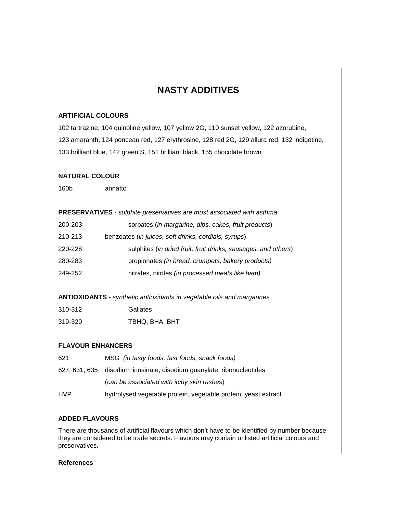# **NASTY ADDITIVES**

### **ARTIFICIAL COLOURS**

102 tartrazine, 104 quinoline yellow, 107 yellow 2G, 110 sunset yellow, 122 azorubine, 123 amaranth, 124 ponceau red, 127 erythrosine, 128 red 2G, 129 allura red, 132 indigotine, 133 brilliant blue, 142 green S, 151 brilliant black, 155 chocolate brown

## **NATURAL COLOUR**

160b annatto

| <b>PRESERVATIVES</b> - sulphite preservatives are most associated with asthma |                                                                |  |
|-------------------------------------------------------------------------------|----------------------------------------------------------------|--|
| 200-203                                                                       | sorbates (in margarine, dips, cakes, fruit products)           |  |
| 210-213                                                                       | benzoates (in juices, soft drinks, cordials, syrups)           |  |
| 220-228                                                                       | sulphites (in dried fruit, fruit drinks, sausages, and others) |  |
| 280-283                                                                       | propionates (in bread, crumpets, bakery products)              |  |
| 249-252                                                                       | nitrates, nitrites (in processed meats like ham)               |  |
|                                                                               |                                                                |  |

**ANTIOXIDANTS -** *synthetic antioxidants in vegetable oils and margarines*

| 310-312 | Gallates       |
|---------|----------------|
| 319-320 | TBHQ, BHA, BHT |

# **FLAVOUR ENHANCERS**

| 621        | MSG <i>(in tasty foods, fast foods, snack foods)</i>                  |  |
|------------|-----------------------------------------------------------------------|--|
|            | 627, 631, 635 disodium inosinate, disodium guanylate, ribonucleotides |  |
|            | (can be associated with itchy skin rashes)                            |  |
| <b>HVP</b> | hydrolysed vegetable protein, vegetable protein, yeast extract        |  |

# **ADDED FLAVOURS**

There are thousands of artificial flavours which don't have to be identified by number because they are considered to be trade secrets. Flavours may contain unlisted artificial colours and preservatives.

### **References**